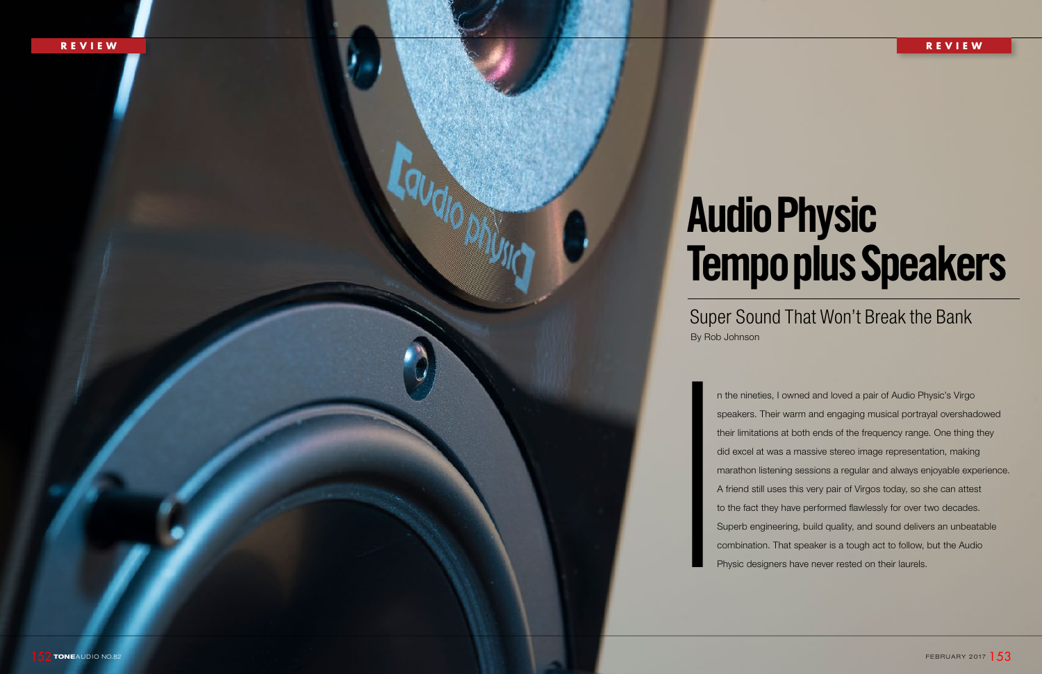n the nineties, I owned and loved a pair of Audio Physic's Virgo speakers. Their warm and engaging musical portrayal overshadowed their limitations at both ends of the frequency range. One thing they did excel at was a massive stereo image representation, making marathon listening sessions a regular and always enjoyable experience. A friend still uses this very pair of Virgos today, so she can attest to the fact they have performed flawlessly for over two decades. Superb engineering, build quality, and sound delivers an unbeatable combination. That speaker is a tough act to follow, but the Audio did excel at was a massive stereo image representated marathon listening sessions a regular and always en A friend still uses this very pair of Virgos today, so s to the fact they have performed flawlessly for over the Sup

# **Audio Physic Tempo plus Speakers**

# Super Sound That Won't Break the Bank

By Rob Johnson

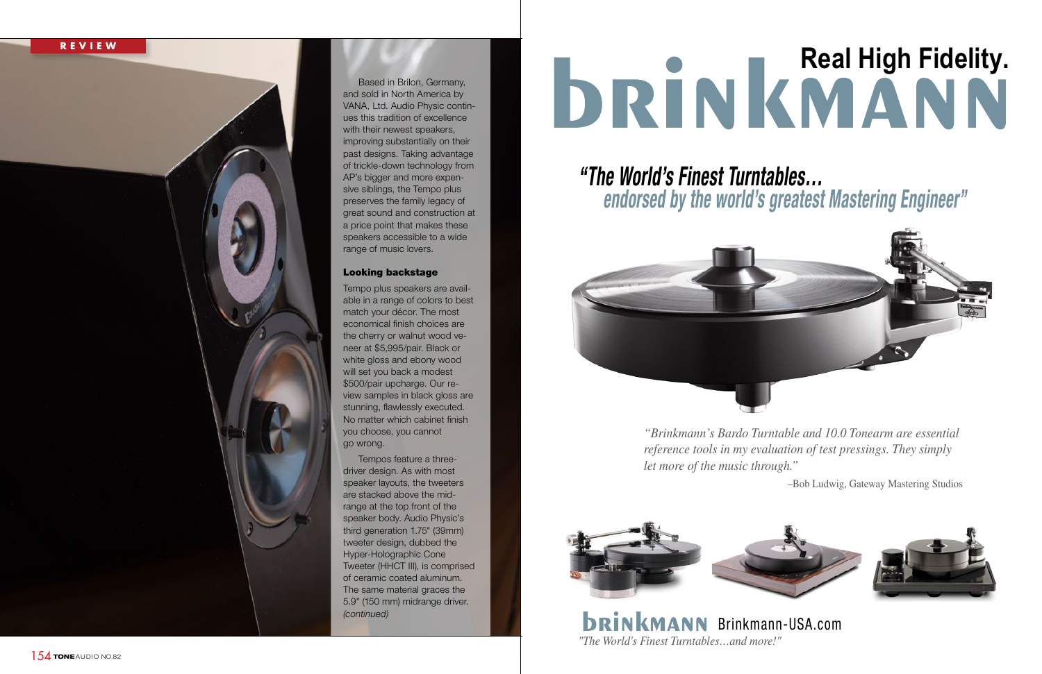# **REVIEW**

Based in Brilon, Germany, and sold in North America by VANA, Ltd. Audio Physic contin ues this tradition of excellence with their newest speakers, improving substantially on their past designs. Taking advantage of trickle-down technology from AP's bigger and more expen sive siblings, the Tempo plus preserves the family legacy of great sound and construction at a price point that makes these speakers accessible to a wide range of music lovers.

# Looking backstage

Tempo plus speakers are avail able in a range of colors to best match your décor. The most economical finish choices are the cherry or walnut wood ve neer at \$5,995/pair. Black or white gloss and ebony wood will set you back a modest \$500/pair upcharge. Our re view samples in black gloss are stunning, flawlessly executed. No matter which cabinet finish you choose, you cannot go wrong.

> **DRINKMANN** Brinkmann-USA.com *"The World's Finest Turntables…and more!"*

Tempos feature a threedriver design. As with most speaker layouts, the tweeters are stacked above the mid range at the top front of the speaker body. Audio Physic's third generation 1.75" (39mm) tweeter design, dubbed the Hyper-Holographic Cone Tweeter (HHCT III), is comprised of ceramic coated aluminum. The same material graces the 5.9" (150 mm) midrange driver. *(continued)* 

# **DRINKMANN**

*"Brinkmann's Bardo Turntable and 10.0 Tonearm are essential reference tools in my evaluation of test pressings. They simply let more of the music through."*



–Bob Ludwig, Gateway Mastering Studios

# *"The World's Finest Turntables… endorsed by the world's greatest Mastering Engineer"*

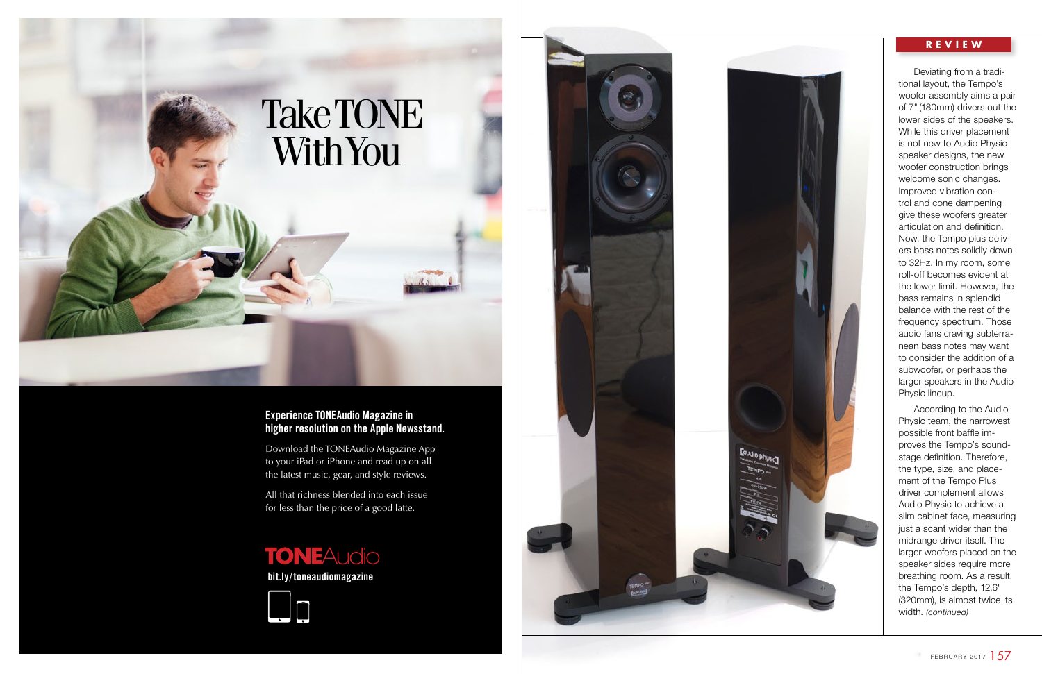# **REVIEW**

**bit.ly/toneaudiomagazine**





Download the TONEAudio Magazine App to your iPad or iPhone and read up on all the latest music, gear, and style reviews.

All that richness blended into each issue for less than the price of a good latte.

# **TONEAudio**

# **Experience TONEAudio Magazine in higher resolution on the Apple Newsstand.**



Deviating from a tradi tional layout, the Tempo's woofer assembly aims a pair of 7" (180mm) drivers out the lower sides of the speakers. While this driver placement is not new to Audio Physic speaker designs, the new woofer construction brings welcome sonic changes. Improved vibration con trol and cone dampening give these woofers greater articulation and definition. Now, the Tempo plus deliv ers bass notes solidly down to 32Hz. In my room, some roll-off becomes evident at the lower limit. However, the bass remains in splendid balance with the rest of the frequency spectrum. Those audio fans craving subterra nean bass notes may want to consider the addition of a subwoofer, or perhaps the larger speakers in the Audio Physic lineup.

According to the Audio Physic team, the narrowest possible front baffle im proves the Tempo's sound stage definition. Therefore, the type, size, and place ment of the Tempo Plus driver complement allows Audio Physic to achieve a slim cabinet face, measuring just a scant wider than the midrange driver itself. The larger woofers placed on the speaker sides require more breathing room. As a result, the Tempo's depth, 12.6" (320mm), is almost twice its width. *(continued)*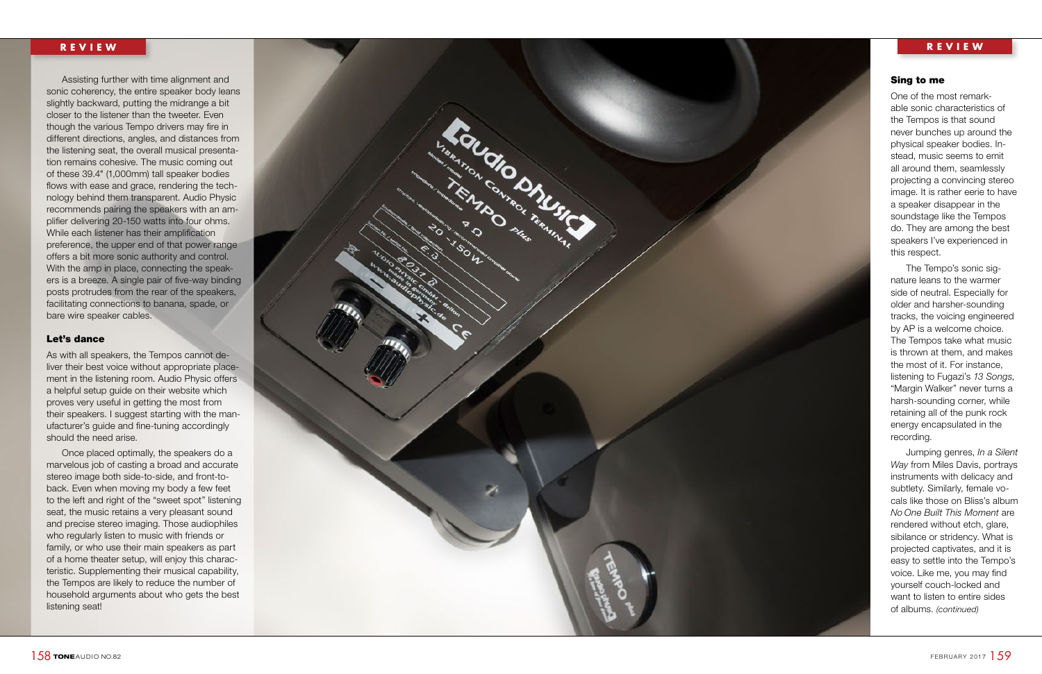



Assisting further with time alignment and sonic coherency, the entire speaker body leans slightly backward, putting the midrange a bit closer to the listener than the tweeter. Even though the various Tempo drivers may fire in different directions, angles, and distances from the listening seat, the overall musical presenta tion remains cohesive. The music coming out of these 39.4" (1,000mm) tall speaker bodies flows with ease and grace, rendering the technology behind them transparent. Audio Physic recommends pairing the speakers with an am plifier delivering 20-150 watts into four ohms. While each listener has their amplification preference, the upper end of that power range offers a bit more sonic authority and control. With the amp in place, connecting the speak ers is a breeze. A single pair of five-way binding posts protrudes from the rear of the speakers, facilitating connections to banana, spade, or bare wire speaker cables.

# Let's dance

As with all speakers, the Tempos cannot de liver their best voice without appropriate place ment in the listening room. Audio Physic offers a helpful setup guide on their website which proves very useful in getting the most from their speakers. I suggest starting with the man ufacturer's guide and fine-tuning accordingly should the need arise.

Once placed optimally, the speakers do a marvelous job of casting a broad and accurate stereo image both side-to-side, and front-toback. Even when moving my body a few feet to the left and right of the "sweet spot" listening seat, the music retains a very pleasant sound and precise stereo imaging. Those audiophiles who regularly listen to music with friends or family, or who use their main speakers as part of a home theater setup, will enjoy this charac teristic. Supplementing their musical capability, the Tempos are likely to reduce the number of household arguments about who gets the best listening seat!

# Sing to me

One of the most remark able sonic characteristics of the Tempos is that sound never bunches up around the physical speaker bodies. In stead, music seems to emit all around them, seamlessly projecting a convincing stereo image. It is rather eerie to have a speaker disappear in the soundstage like the Tempos do. They are among the best speakers I've experienced in this respect.

The Tempo's sonic sig nature leans to the warmer side of neutral. Especially for older and harsher-sounding tracks, the voicing engineered by AP is a welcome choice. The Tempos take what music is thrown at them, and makes the most of it. For instance, listening to Fugazi's *13 Songs*, "Margin Walker" never turns a harsh-sounding corner, while retaining all of the punk rock energy encapsulated in the recording.

Jumping genres, *In a Silent Way* from Miles Davis, portrays instruments with delicacy and subtlety. Similarly, female vo cals like those on Bliss's album *No One Built This Moment* are rendered without etch, glare, sibilance or stridency. What is projected captivates, and it is easy to settle into the Tempo's voice. Like me, you may find yourself couch-locked and want to listen to entire sides of albums. *(continued)*